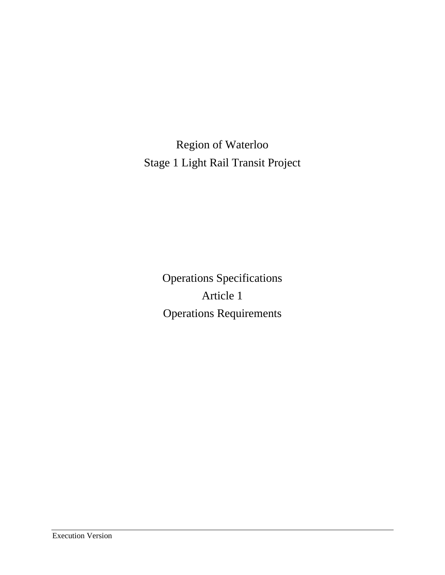Region of Waterloo Stage 1 Light Rail Transit Project

> Operations Specifications Article 1 Operations Requirements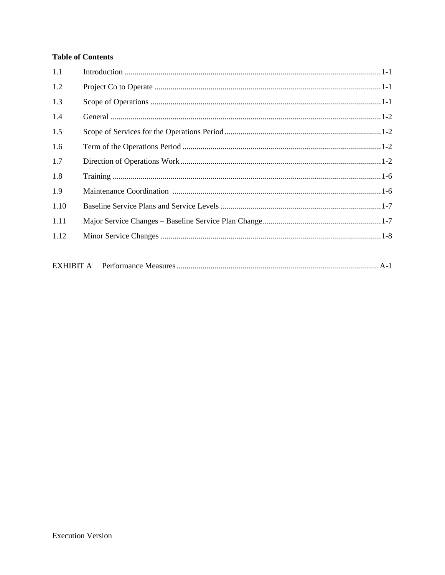# **Table of Contents**

| 1.1  |  |  |
|------|--|--|
| 1.2  |  |  |
| 1.3  |  |  |
| 1.4  |  |  |
| 1.5  |  |  |
| 1.6  |  |  |
| 1.7  |  |  |
| 1.8  |  |  |
| 1.9  |  |  |
| 1.10 |  |  |
| 1.11 |  |  |
| 1.12 |  |  |
|      |  |  |
|      |  |  |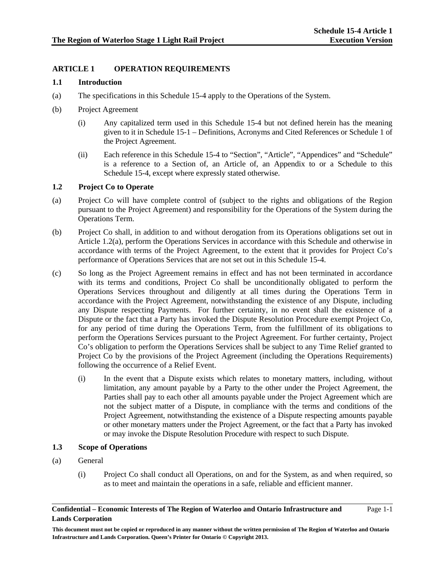Page 1-1

# **ARTICLE 1 OPERATION REQUIREMENTS**

#### **1.1 Introduction**

- (a) The specifications in this Schedule 15-4 apply to the Operations of the System.
- (b) Project Agreement
	- (i) Any capitalized term used in this Schedule 15-4 but not defined herein has the meaning given to it in Schedule 15-1 – Definitions, Acronyms and Cited References or Schedule 1 of the Project Agreement.
	- (ii) Each reference in this Schedule 15-4 to "Section", "Article", "Appendices" and "Schedule" is a reference to a Section of, an Article of, an Appendix to or a Schedule to this Schedule 15-4, except where expressly stated otherwise.

#### **1.2 Project Co to Operate**

- (a) Project Co will have complete control of (subject to the rights and obligations of the Region pursuant to the Project Agreement) and responsibility for the Operations of the System during the Operations Term.
- (b) Project Co shall, in addition to and without derogation from its Operations obligations set out in Article 1.2(a), perform the Operations Services in accordance with this Schedule and otherwise in accordance with terms of the Project Agreement, to the extent that it provides for Project Co's performance of Operations Services that are not set out in this Schedule 15-4.
- (c) So long as the Project Agreement remains in effect and has not been terminated in accordance with its terms and conditions, Project Co shall be unconditionally obligated to perform the Operations Services throughout and diligently at all times during the Operations Term in accordance with the Project Agreement, notwithstanding the existence of any Dispute, including any Dispute respecting Payments. For further certainty, in no event shall the existence of a Dispute or the fact that a Party has invoked the Dispute Resolution Procedure exempt Project Co, for any period of time during the Operations Term, from the fulfillment of its obligations to perform the Operations Services pursuant to the Project Agreement. For further certainty, Project Co's obligation to perform the Operations Services shall be subject to any Time Relief granted to Project Co by the provisions of the Project Agreement (including the Operations Requirements) following the occurrence of a Relief Event.
	- (i) In the event that a Dispute exists which relates to monetary matters, including, without limitation, any amount payable by a Party to the other under the Project Agreement, the Parties shall pay to each other all amounts payable under the Project Agreement which are not the subject matter of a Dispute, in compliance with the terms and conditions of the Project Agreement, notwithstanding the existence of a Dispute respecting amounts payable or other monetary matters under the Project Agreement, or the fact that a Party has invoked or may invoke the Dispute Resolution Procedure with respect to such Dispute.

# **1.3 Scope of Operations**

- (a) General
	- (i) Project Co shall conduct all Operations, on and for the System, as and when required, so as to meet and maintain the operations in a safe, reliable and efficient manner.

#### **Confidential – Economic Interests of The Region of Waterloo and Ontario Infrastructure and Lands Corporation**

**This document must not be copied or reproduced in any manner without the written permission of The Region of Waterloo and Ontario Infrastructure and Lands Corporation. Queen's Printer for Ontario © Copyright 2013.**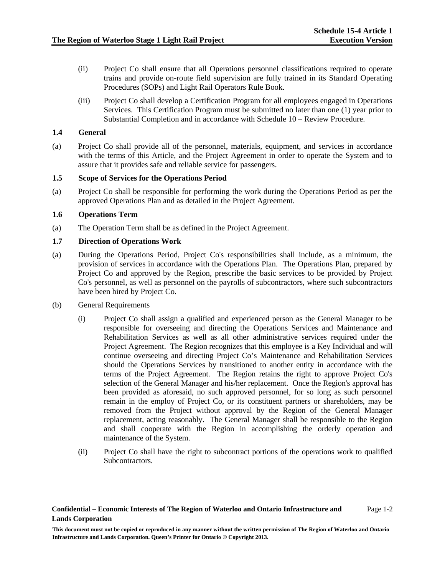- (ii) Project Co shall ensure that all Operations personnel classifications required to operate trains and provide on-route field supervision are fully trained in its Standard Operating Procedures (SOPs) and Light Rail Operators Rule Book.
- (iii) Project Co shall develop a Certification Program for all employees engaged in Operations Services. This Certification Program must be submitted no later than one (1) year prior to Substantial Completion and in accordance with Schedule 10 – Review Procedure.

#### **1.4 General**

(a) Project Co shall provide all of the personnel, materials, equipment, and services in accordance with the terms of this Article, and the Project Agreement in order to operate the System and to assure that it provides safe and reliable service for passengers.

#### **1.5 Scope of Services for the Operations Period**

(a) Project Co shall be responsible for performing the work during the Operations Period as per the approved Operations Plan and as detailed in the Project Agreement.

#### **1.6 Operations Term**

(a) The Operation Term shall be as defined in the Project Agreement.

# **1.7 Direction of Operations Work**

- (a) During the Operations Period, Project Co's responsibilities shall include, as a minimum, the provision of services in accordance with the Operations Plan. The Operations Plan, prepared by Project Co and approved by the Region, prescribe the basic services to be provided by Project Co's personnel, as well as personnel on the payrolls of subcontractors, where such subcontractors have been hired by Project Co.
- (b) General Requirements
	- (i) Project Co shall assign a qualified and experienced person as the General Manager to be responsible for overseeing and directing the Operations Services and Maintenance and Rehabilitation Services as well as all other administrative services required under the Project Agreement. The Region recognizes that this employee is a Key Individual and will continue overseeing and directing Project Co's Maintenance and Rehabilitation Services should the Operations Services by transitioned to another entity in accordance with the terms of the Project Agreement. The Region retains the right to approve Project Co's selection of the General Manager and his/her replacement. Once the Region's approval has been provided as aforesaid, no such approved personnel, for so long as such personnel remain in the employ of Project Co, or its constituent partners or shareholders, may be removed from the Project without approval by the Region of the General Manager replacement, acting reasonably. The General Manager shall be responsible to the Region and shall cooperate with the Region in accomplishing the orderly operation and maintenance of the System.
	- (ii) Project Co shall have the right to subcontract portions of the operations work to qualified Subcontractors.

#### **Confidential – Economic Interests of The Region of Waterloo and Ontario Infrastructure and Lands Corporation**

**This document must not be copied or reproduced in any manner without the written permission of The Region of Waterloo and Ontario Infrastructure and Lands Corporation. Queen's Printer for Ontario © Copyright 2013.**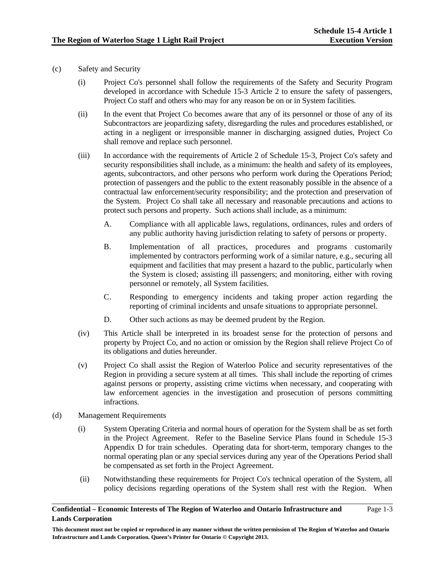- (c) Safety and Security
	- (i) Project Co's personnel shall follow the requirements of the Safety and Security Program developed in accordance with Schedule 15-3 Article 2 to ensure the safety of passengers, Project Co staff and others who may for any reason be on or in System facilities.
	- (ii) In the event that Project Co becomes aware that any of its personnel or those of any of its Subcontractors are jeopardizing safety, disregarding the rules and procedures established, or acting in a negligent or irresponsible manner in discharging assigned duties, Project Co shall remove and replace such personnel.
	- (iii) In accordance with the requirements of Article 2 of Schedule 15-3, Project Co's safety and security responsibilities shall include, as a minimum: the health and safety of its employees, agents, subcontractors, and other persons who perform work during the Operations Period; protection of passengers and the public to the extent reasonably possible in the absence of a contractual law enforcement/security responsibility; and the protection and preservation of the System. Project Co shall take all necessary and reasonable precautions and actions to protect such persons and property. Such actions shall include, as a minimum:
		- A. Compliance with all applicable laws, regulations, ordinances, rules and orders of any public authority having jurisdiction relating to safety of persons or property.
		- B. Implementation of all practices, procedures and programs customarily implemented by contractors performing work of a similar nature, e.g., securing all equipment and facilities that may present a hazard to the public, particularly when the System is closed; assisting ill passengers; and monitoring, either with roving personnel or remotely, all System facilities.
		- C. Responding to emergency incidents and taking proper action regarding the reporting of criminal incidents and unsafe situations to appropriate personnel.
		- D. Other such actions as may be deemed prudent by the Region.
	- (iv) This Article shall be interpreted in its broadest sense for the protection of persons and property by Project Co, and no action or omission by the Region shall relieve Project Co of its obligations and duties hereunder.
	- (v) Project Co shall assist the Region of Waterloo Police and security representatives of the Region in providing a secure system at all times. This shall include the reporting of crimes against persons or property, assisting crime victims when necessary, and cooperating with law enforcement agencies in the investigation and prosecution of persons committing infractions.
- (d) Management Requirements
	- (i) System Operating Criteria and normal hours of operation for the System shall be as set forth in the Project Agreement. Refer to the Baseline Service Plans found in Schedule 15-3 Appendix D for train schedules. Operating data for short-term, temporary changes to the normal operating plan or any special services during any year of the Operations Period shall be compensated as set forth in the Project Agreement.
	- (ii) Notwithstanding these requirements for Project Co's technical operation of the System, all policy decisions regarding operations of the System shall rest with the Region. When

#### **Confidential – Economic Interests of The Region of Waterloo and Ontario Infrastructure and Lands Corporation**

Page 1-3

**This document must not be copied or reproduced in any manner without the written permission of The Region of Waterloo and Ontario Infrastructure and Lands Corporation. Queen's Printer for Ontario © Copyright 2013.**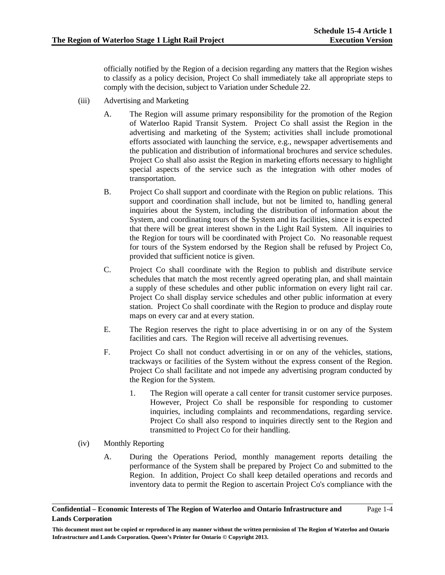Page 1-4

officially notified by the Region of a decision regarding any matters that the Region wishes to classify as a policy decision, Project Co shall immediately take all appropriate steps to comply with the decision, subject to Variation under Schedule 22.

- (iii) Advertising and Marketing
	- A. The Region will assume primary responsibility for the promotion of the Region of Waterloo Rapid Transit System. Project Co shall assist the Region in the advertising and marketing of the System; activities shall include promotional efforts associated with launching the service, e.g., newspaper advertisements and the publication and distribution of informational brochures and service schedules. Project Co shall also assist the Region in marketing efforts necessary to highlight special aspects of the service such as the integration with other modes of transportation.
	- B. Project Co shall support and coordinate with the Region on public relations. This support and coordination shall include, but not be limited to, handling general inquiries about the System, including the distribution of information about the System, and coordinating tours of the System and its facilities, since it is expected that there will be great interest shown in the Light Rail System. All inquiries to the Region for tours will be coordinated with Project Co. No reasonable request for tours of the System endorsed by the Region shall be refused by Project Co, provided that sufficient notice is given.
	- C. Project Co shall coordinate with the Region to publish and distribute service schedules that match the most recently agreed operating plan, and shall maintain a supply of these schedules and other public information on every light rail car. Project Co shall display service schedules and other public information at every station. Project Co shall coordinate with the Region to produce and display route maps on every car and at every station.
	- E. The Region reserves the right to place advertising in or on any of the System facilities and cars. The Region will receive all advertising revenues.
	- F. Project Co shall not conduct advertising in or on any of the vehicles, stations, trackways or facilities of the System without the express consent of the Region. Project Co shall facilitate and not impede any advertising program conducted by the Region for the System.
		- 1. The Region will operate a call center for transit customer service purposes. However, Project Co shall be responsible for responding to customer inquiries, including complaints and recommendations, regarding service. Project Co shall also respond to inquiries directly sent to the Region and transmitted to Project Co for their handling.
- (iv) Monthly Reporting
	- A. During the Operations Period, monthly management reports detailing the performance of the System shall be prepared by Project Co and submitted to the Region. In addition, Project Co shall keep detailed operations and records and inventory data to permit the Region to ascertain Project Co's compliance with the

**Confidential – Economic Interests of The Region of Waterloo and Ontario Infrastructure and Lands Corporation** 

**This document must not be copied or reproduced in any manner without the written permission of The Region of Waterloo and Ontario Infrastructure and Lands Corporation. Queen's Printer for Ontario © Copyright 2013.**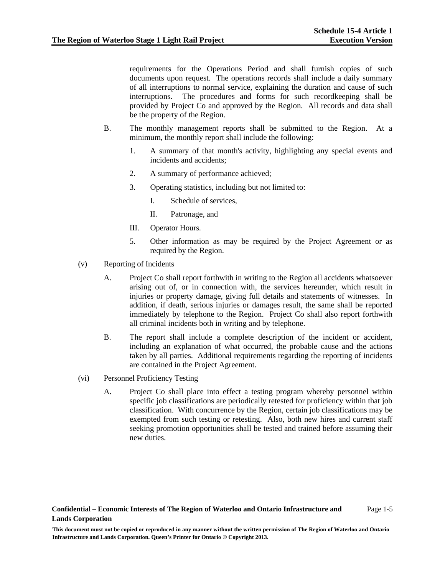Page 1-5

requirements for the Operations Period and shall furnish copies of such documents upon request. The operations records shall include a daily summary of all interruptions to normal service, explaining the duration and cause of such interruptions. The procedures and forms for such recordkeeping shall be provided by Project Co and approved by the Region. All records and data shall be the property of the Region.

- B. The monthly management reports shall be submitted to the Region. At a minimum, the monthly report shall include the following:
	- 1. A summary of that month's activity, highlighting any special events and incidents and accidents;
	- 2. A summary of performance achieved;
	- 3. Operating statistics, including but not limited to:
		- I. Schedule of services,
		- II. Patronage, and
	- III. Operator Hours.
	- 5. Other information as may be required by the Project Agreement or as required by the Region.
- (v) Reporting of Incidents
	- A. Project Co shall report forthwith in writing to the Region all accidents whatsoever arising out of, or in connection with, the services hereunder, which result in injuries or property damage, giving full details and statements of witnesses. In addition, if death, serious injuries or damages result, the same shall be reported immediately by telephone to the Region. Project Co shall also report forthwith all criminal incidents both in writing and by telephone.
	- B. The report shall include a complete description of the incident or accident, including an explanation of what occurred, the probable cause and the actions taken by all parties. Additional requirements regarding the reporting of incidents are contained in the Project Agreement.
- (vi) Personnel Proficiency Testing
	- A. Project Co shall place into effect a testing program whereby personnel within specific job classifications are periodically retested for proficiency within that job classification. With concurrence by the Region, certain job classifications may be exempted from such testing or retesting. Also, both new hires and current staff seeking promotion opportunities shall be tested and trained before assuming their new duties.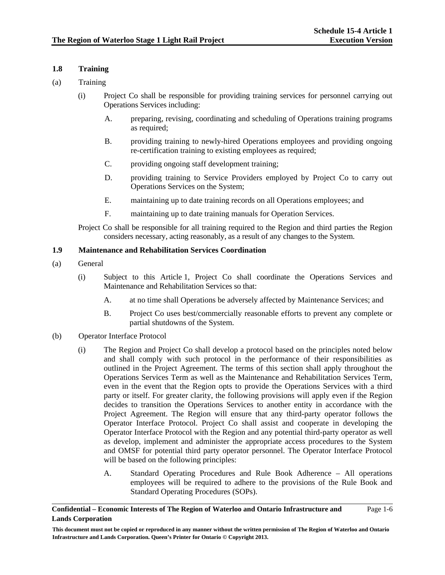#### **1.8 Training**

- (a) Training
	- (i) Project Co shall be responsible for providing training services for personnel carrying out Operations Services including:
		- A. preparing, revising, coordinating and scheduling of Operations training programs as required;
		- B. providing training to newly-hired Operations employees and providing ongoing re-certification training to existing employees as required;
		- C. providing ongoing staff development training;
		- D. providing training to Service Providers employed by Project Co to carry out Operations Services on the System;
		- E. maintaining up to date training records on all Operations employees; and
		- F. maintaining up to date training manuals for Operation Services.

Project Co shall be responsible for all training required to the Region and third parties the Region considers necessary, acting reasonably, as a result of any changes to the System.

# **1.9 Maintenance and Rehabilitation Services Coordination**

- (a) General
	- (i) Subject to this Article 1, Project Co shall coordinate the Operations Services and Maintenance and Rehabilitation Services so that:
		- A. at no time shall Operations be adversely affected by Maintenance Services; and
		- B. Project Co uses best/commercially reasonable efforts to prevent any complete or partial shutdowns of the System.
- (b) Operator Interface Protocol
	- (i) The Region and Project Co shall develop a protocol based on the principles noted below and shall comply with such protocol in the performance of their responsibilities as outlined in the Project Agreement. The terms of this section shall apply throughout the Operations Services Term as well as the Maintenance and Rehabilitation Services Term, even in the event that the Region opts to provide the Operations Services with a third party or itself. For greater clarity, the following provisions will apply even if the Region decides to transition the Operations Services to another entity in accordance with the Project Agreement. The Region will ensure that any third-party operator follows the Operator Interface Protocol. Project Co shall assist and cooperate in developing the Operator Interface Protocol with the Region and any potential third-party operator as well as develop, implement and administer the appropriate access procedures to the System and OMSF for potential third party operator personnel. The Operator Interface Protocol will be based on the following principles:
		- A. Standard Operating Procedures and Rule Book Adherence All operations employees will be required to adhere to the provisions of the Rule Book and Standard Operating Procedures (SOPs).

## **Confidential – Economic Interests of The Region of Waterloo and Ontario Infrastructure and Lands Corporation**

Page 1-6

**This document must not be copied or reproduced in any manner without the written permission of The Region of Waterloo and Ontario Infrastructure and Lands Corporation. Queen's Printer for Ontario © Copyright 2013.**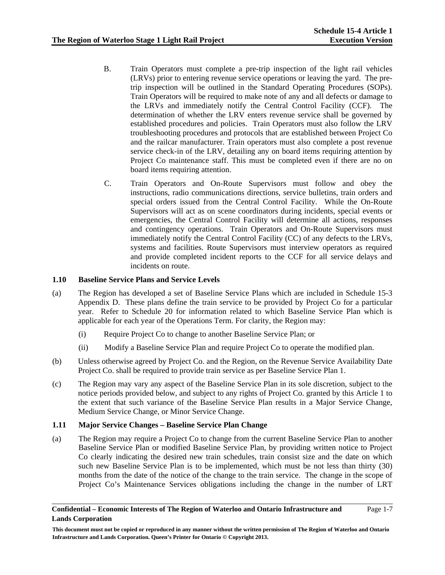- B. Train Operators must complete a pre-trip inspection of the light rail vehicles (LRVs) prior to entering revenue service operations or leaving the yard. The pretrip inspection will be outlined in the Standard Operating Procedures (SOPs). Train Operators will be required to make note of any and all defects or damage to the LRVs and immediately notify the Central Control Facility (CCF). The determination of whether the LRV enters revenue service shall be governed by established procedures and policies. Train Operators must also follow the LRV troubleshooting procedures and protocols that are established between Project Co and the railcar manufacturer. Train operators must also complete a post revenue service check-in of the LRV, detailing any on board items requiring attention by Project Co maintenance staff. This must be completed even if there are no on board items requiring attention.
- C. Train Operators and On-Route Supervisors must follow and obey the instructions, radio communications directions, service bulletins, train orders and special orders issued from the Central Control Facility. While the On-Route Supervisors will act as on scene coordinators during incidents, special events or emergencies, the Central Control Facility will determine all actions, responses and contingency operations. Train Operators and On-Route Supervisors must immediately notify the Central Control Facility (CC) of any defects to the LRVs, systems and facilities. Route Supervisors must interview operators as required and provide completed incident reports to the CCF for all service delays and incidents on route.

# **1.10 Baseline Service Plans and Service Levels**

- (a) The Region has developed a set of Baseline Service Plans which are included in Schedule 15-3 Appendix D. These plans define the train service to be provided by Project Co for a particular year. Refer to Schedule 20 for information related to which Baseline Service Plan which is applicable for each year of the Operations Term. For clarity, the Region may:
	- (i) Require Project Co to change to another Baseline Service Plan; or
	- (ii) Modify a Baseline Service Plan and require Project Co to operate the modified plan.
- (b) Unless otherwise agreed by Project Co. and the Region, on the Revenue Service Availability Date Project Co. shall be required to provide train service as per Baseline Service Plan 1.
- (c) The Region may vary any aspect of the Baseline Service Plan in its sole discretion, subject to the notice periods provided below, and subject to any rights of Project Co. granted by this Article 1 to the extent that such variance of the Baseline Service Plan results in a Major Service Change, Medium Service Change, or Minor Service Change.

# **1.11 Major Service Changes – Baseline Service Plan Change**

(a) The Region may require a Project Co to change from the current Baseline Service Plan to another Baseline Service Plan or modified Baseline Service Plan, by providing written notice to Project Co clearly indicating the desired new train schedules, train consist size and the date on which such new Baseline Service Plan is to be implemented, which must be not less than thirty (30) months from the date of the notice of the change to the train service. The change in the scope of Project Co's Maintenance Services obligations including the change in the number of LRT

#### **Confidential – Economic Interests of The Region of Waterloo and Ontario Infrastructure and Lands Corporation**

Page 1-7

**This document must not be copied or reproduced in any manner without the written permission of The Region of Waterloo and Ontario Infrastructure and Lands Corporation. Queen's Printer for Ontario © Copyright 2013.**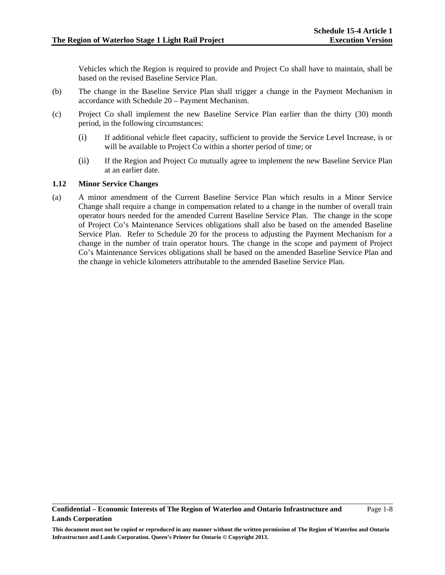Vehicles which the Region is required to provide and Project Co shall have to maintain, shall be based on the revised Baseline Service Plan.

- (b) The change in the Baseline Service Plan shall trigger a change in the Payment Mechanism in accordance with Schedule 20 – Payment Mechanism.
- (c) Project Co shall implement the new Baseline Service Plan earlier than the thirty (30) month period, in the following circumstances:
	- (i) If additional vehicle fleet capacity, sufficient to provide the Service Level Increase, is or will be available to Project Co within a shorter period of time; or
	- (ii) If the Region and Project Co mutually agree to implement the new Baseline Service Plan at an earlier date.

#### **1.12 Minor Service Changes**

(a) A minor amendment of the Current Baseline Service Plan which results in a Minor Service Change shall require a change in compensation related to a change in the number of overall train operator hours needed for the amended Current Baseline Service Plan. The change in the scope of Project Co's Maintenance Services obligations shall also be based on the amended Baseline Service Plan. Refer to Schedule 20 for the process to adjusting the Payment Mechanism for a change in the number of train operator hours. The change in the scope and payment of Project Co's Maintenance Services obligations shall be based on the amended Baseline Service Plan and the change in vehicle kilometers attributable to the amended Baseline Service Plan.

**This document must not be copied or reproduced in any manner without the written permission of The Region of Waterloo and Ontario Infrastructure and Lands Corporation. Queen's Printer for Ontario © Copyright 2013.**